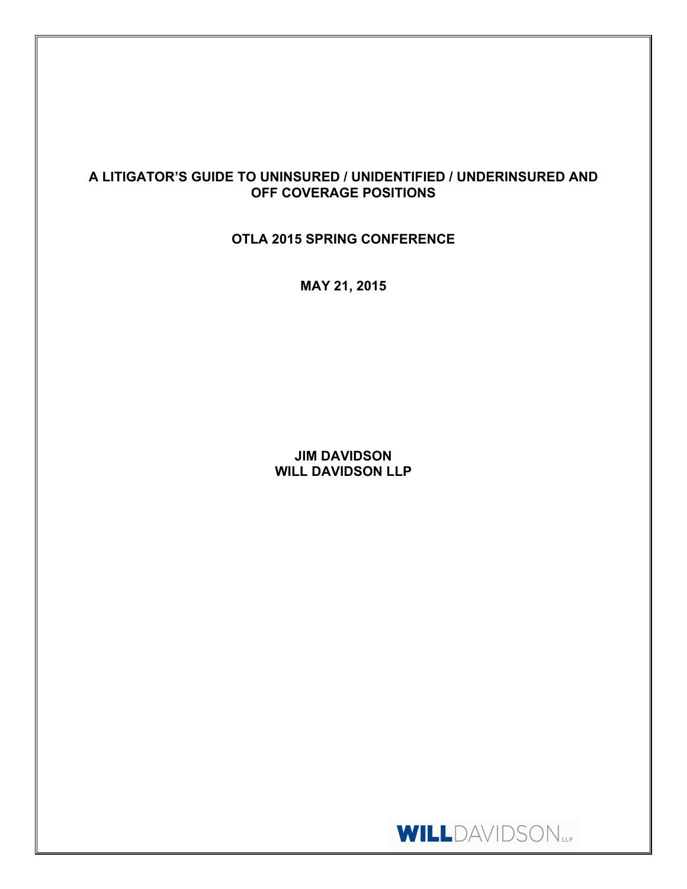# **A LITIGATOR'S GUIDE TO UNINSURED / UNIDENTIFIED / UNDERINSURED AND OFF COVERAGE POSITIONS**

# **OTLA 2015 SPRING CONFERENCE**

**MAY 21, 2015** 

**JIM DAVIDSON WILL DAVIDSON LLP**

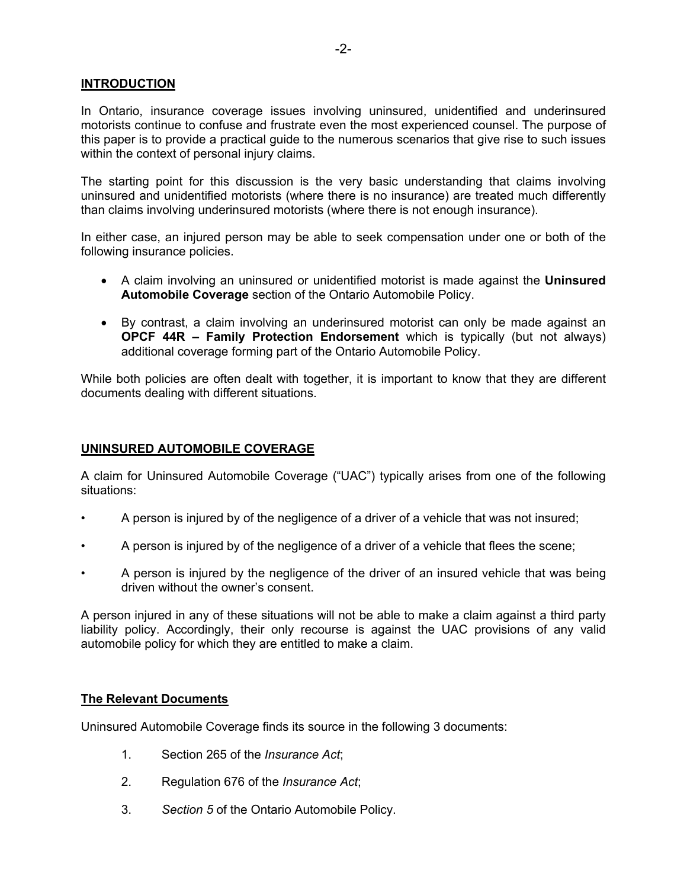# **INTRODUCTION**

In Ontario, insurance coverage issues involving uninsured, unidentified and underinsured motorists continue to confuse and frustrate even the most experienced counsel. The purpose of this paper is to provide a practical guide to the numerous scenarios that give rise to such issues within the context of personal injury claims.

The starting point for this discussion is the very basic understanding that claims involving uninsured and unidentified motorists (where there is no insurance) are treated much differently than claims involving underinsured motorists (where there is not enough insurance).

In either case, an injured person may be able to seek compensation under one or both of the following insurance policies.

- A claim involving an uninsured or unidentified motorist is made against the **Uninsured Automobile Coverage** section of the Ontario Automobile Policy.
- By contrast, a claim involving an underinsured motorist can only be made against an **OPCF 44R – Family Protection Endorsement** which is typically (but not always) additional coverage forming part of the Ontario Automobile Policy.

While both policies are often dealt with together, it is important to know that they are different documents dealing with different situations.

### **UNINSURED AUTOMOBILE COVERAGE**

A claim for Uninsured Automobile Coverage ("UAC") typically arises from one of the following situations:

- A person is injured by of the negligence of a driver of a vehicle that was not insured;
- A person is injured by of the negligence of a driver of a vehicle that flees the scene;
- A person is injured by the negligence of the driver of an insured vehicle that was being driven without the owner's consent.

A person injured in any of these situations will not be able to make a claim against a third party liability policy. Accordingly, their only recourse is against the UAC provisions of any valid automobile policy for which they are entitled to make a claim.

### **The Relevant Documents**

Uninsured Automobile Coverage finds its source in the following 3 documents:

- 1. Section 265 of the *Insurance Act*;
- 2. Regulation 676 of the *Insurance Act*;
- 3. *Section 5* of the Ontario Automobile Policy.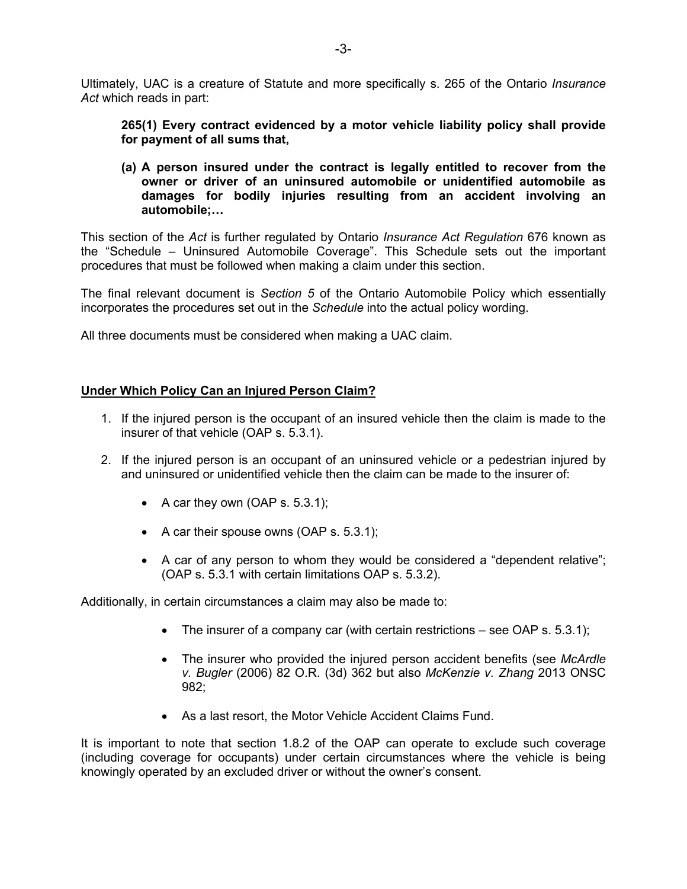Ultimately, UAC is a creature of Statute and more specifically s. 265 of the Ontario *Insurance Act* which reads in part:

**265(1) Every contract evidenced by a motor vehicle liability policy shall provide for payment of all sums that,**

**(a) A person insured under the contract is legally entitled to recover from the owner or driver of an uninsured automobile or unidentified automobile as damages for bodily injuries resulting from an accident involving an automobile;…**

This section of the *Act* is further regulated by Ontario *Insurance Act Regulation* 676 known as the "Schedule – Uninsured Automobile Coverage". This Schedule sets out the important procedures that must be followed when making a claim under this section.

The final relevant document is *Section 5* of the Ontario Automobile Policy which essentially incorporates the procedures set out in the *Schedule* into the actual policy wording.

All three documents must be considered when making a UAC claim.

## **Under Which Policy Can an Injured Person Claim?**

- 1. If the injured person is the occupant of an insured vehicle then the claim is made to the insurer of that vehicle (OAP s. 5.3.1).
- 2. If the injured person is an occupant of an uninsured vehicle or a pedestrian injured by and uninsured or unidentified vehicle then the claim can be made to the insurer of:
	- A car they own (OAP s. 5.3.1);
	- A car their spouse owns (OAP s. 5.3.1);
	- A car of any person to whom they would be considered a "dependent relative"; (OAP s. 5.3.1 with certain limitations OAP s. 5.3.2).

Additionally, in certain circumstances a claim may also be made to:

- The insurer of a company car (with certain restrictions see OAP s. 5.3.1):
- The insurer who provided the injured person accident benefits (see *McArdle v. Bugler* (2006) 82 O.R. (3d) 362 but also *McKenzie v. Zhang* 2013 ONSC 982;
- As a last resort, the Motor Vehicle Accident Claims Fund.

It is important to note that section 1.8.2 of the OAP can operate to exclude such coverage (including coverage for occupants) under certain circumstances where the vehicle is being knowingly operated by an excluded driver or without the owner's consent.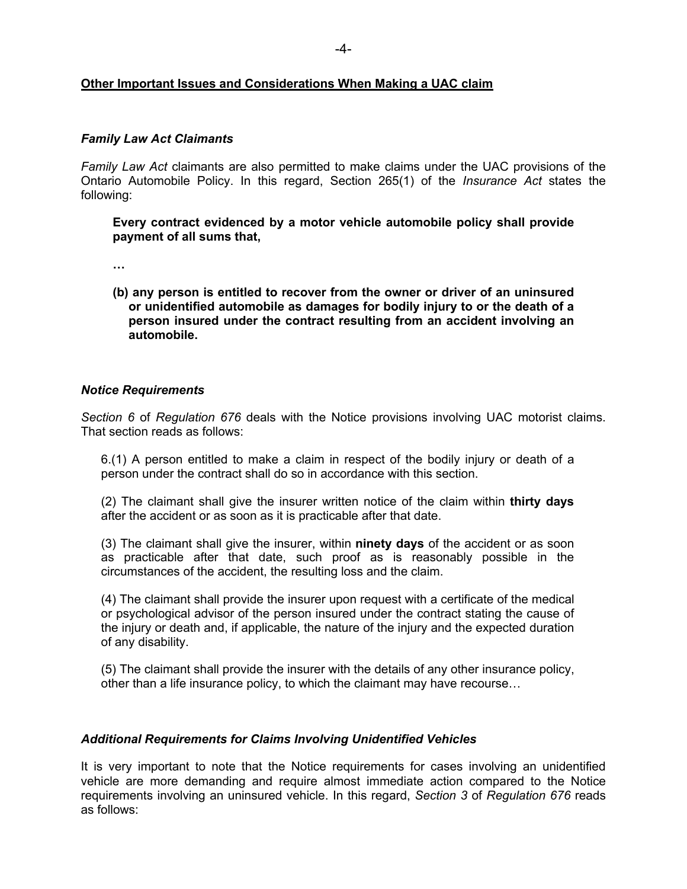### **Other Important Issues and Considerations When Making a UAC claim**

### *Family Law Act Claimants*

*Family Law Act* claimants are also permitted to make claims under the UAC provisions of the Ontario Automobile Policy. In this regard, Section 265(1) of the *Insurance Act* states the following:

**Every contract evidenced by a motor vehicle automobile policy shall provide payment of all sums that,** 

**…**

**(b) any person is entitled to recover from the owner or driver of an uninsured or unidentified automobile as damages for bodily injury to or the death of a person insured under the contract resulting from an accident involving an automobile.**

### *Notice Requirements*

*Section 6* of *Regulation 676* deals with the Notice provisions involving UAC motorist claims. That section reads as follows:

6.(1) A person entitled to make a claim in respect of the bodily injury or death of a person under the contract shall do so in accordance with this section.

(2) The claimant shall give the insurer written notice of the claim within **thirty days** after the accident or as soon as it is practicable after that date.

(3) The claimant shall give the insurer, within **ninety days** of the accident or as soon as practicable after that date, such proof as is reasonably possible in the circumstances of the accident, the resulting loss and the claim.

(4) The claimant shall provide the insurer upon request with a certificate of the medical or psychological advisor of the person insured under the contract stating the cause of the injury or death and, if applicable, the nature of the injury and the expected duration of any disability.

(5) The claimant shall provide the insurer with the details of any other insurance policy, other than a life insurance policy, to which the claimant may have recourse…

### *Additional Requirements for Claims Involving Unidentified Vehicles*

It is very important to note that the Notice requirements for cases involving an unidentified vehicle are more demanding and require almost immediate action compared to the Notice requirements involving an uninsured vehicle. In this regard, *Section 3* of *Regulation 676* reads as follows: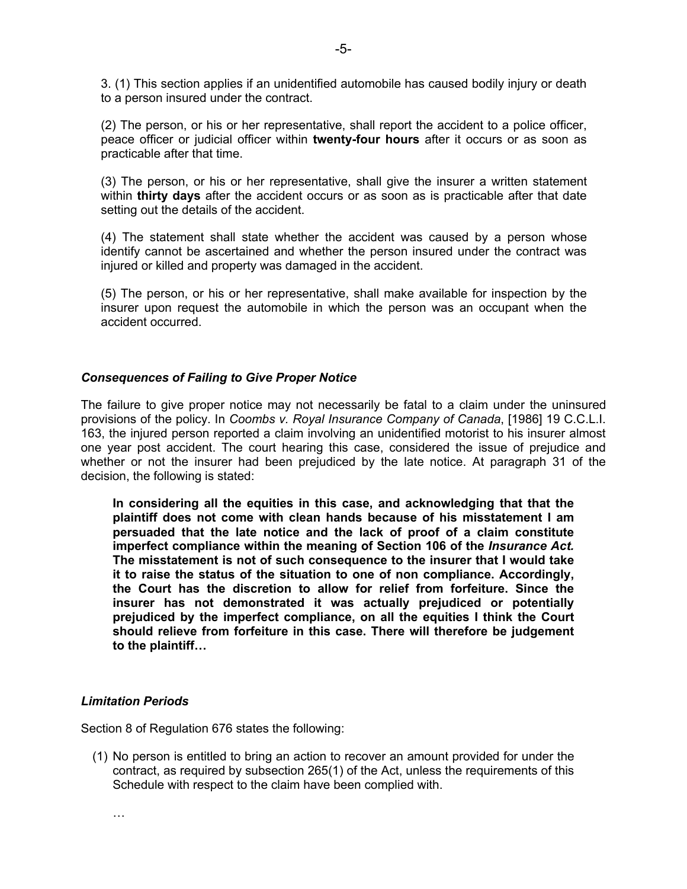3. (1) This section applies if an unidentified automobile has caused bodily injury or death to a person insured under the contract.

(2) The person, or his or her representative, shall report the accident to a police officer, peace officer or judicial officer within **twenty-four hours** after it occurs or as soon as practicable after that time.

(3) The person, or his or her representative, shall give the insurer a written statement within **thirty days** after the accident occurs or as soon as is practicable after that date setting out the details of the accident.

(4) The statement shall state whether the accident was caused by a person whose identify cannot be ascertained and whether the person insured under the contract was injured or killed and property was damaged in the accident.

(5) The person, or his or her representative, shall make available for inspection by the insurer upon request the automobile in which the person was an occupant when the accident occurred.

### *Consequences of Failing to Give Proper Notice*

The failure to give proper notice may not necessarily be fatal to a claim under the uninsured provisions of the policy. In *Coombs v. Royal Insurance Company of Canada*, [1986] 19 C.C.L.I. 163, the injured person reported a claim involving an unidentified motorist to his insurer almost one year post accident. The court hearing this case, considered the issue of prejudice and whether or not the insurer had been prejudiced by the late notice. At paragraph 31 of the decision, the following is stated:

**In considering all the equities in this case, and acknowledging that that the plaintiff does not come with clean hands because of his misstatement I am persuaded that the late notice and the lack of proof of a claim constitute imperfect compliance within the meaning of Section 106 of the** *Insurance Act.* **The misstatement is not of such consequence to the insurer that I would take it to raise the status of the situation to one of non compliance. Accordingly, the Court has the discretion to allow for relief from forfeiture. Since the insurer has not demonstrated it was actually prejudiced or potentially prejudiced by the imperfect compliance, on all the equities I think the Court should relieve from forfeiture in this case. There will therefore be judgement to the plaintiff…**

### *Limitation Periods*

…

Section 8 of Regulation 676 states the following:

(1) No person is entitled to bring an action to recover an amount provided for under the contract, as required by subsection 265(1) of the Act, unless the requirements of this Schedule with respect to the claim have been complied with.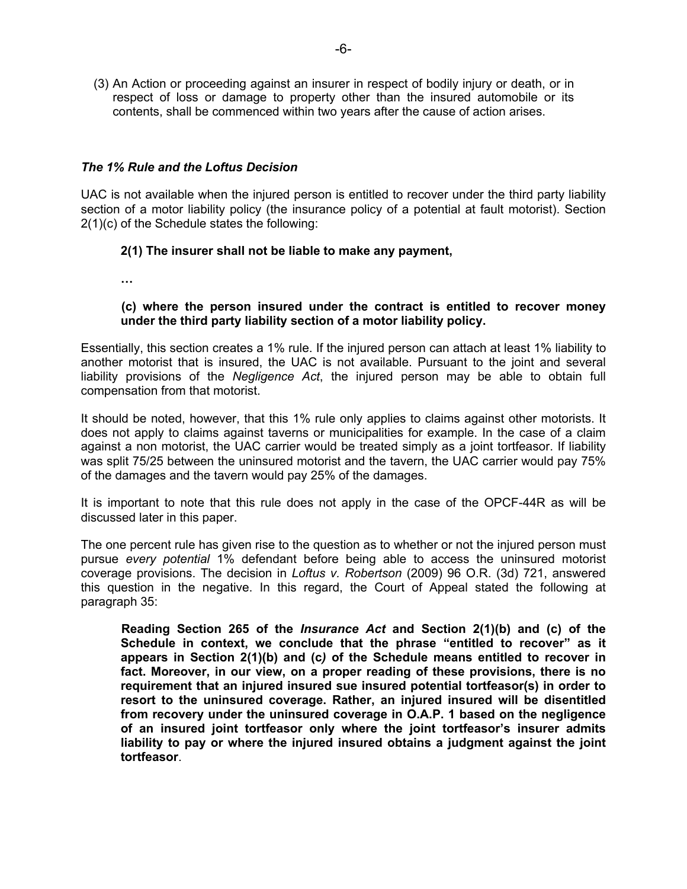(3) An Action or proceeding against an insurer in respect of bodily injury or death, or in respect of loss or damage to property other than the insured automobile or its contents, shall be commenced within two years after the cause of action arises.

## *The 1% Rule and the Loftus Decision*

UAC is not available when the injured person is entitled to recover under the third party liability section of a motor liability policy (the insurance policy of a potential at fault motorist). Section 2(1)(c) of the Schedule states the following:

# **2(1) The insurer shall not be liable to make any payment,**

**…**

### **(c) where the person insured under the contract is entitled to recover money under the third party liability section of a motor liability policy.**

Essentially, this section creates a 1% rule. If the injured person can attach at least 1% liability to another motorist that is insured, the UAC is not available. Pursuant to the joint and several liability provisions of the *Negligence Act*, the injured person may be able to obtain full compensation from that motorist.

It should be noted, however, that this 1% rule only applies to claims against other motorists. It does not apply to claims against taverns or municipalities for example. In the case of a claim against a non motorist, the UAC carrier would be treated simply as a joint tortfeasor. If liability was split 75/25 between the uninsured motorist and the tavern, the UAC carrier would pay 75% of the damages and the tavern would pay 25% of the damages.

It is important to note that this rule does not apply in the case of the OPCF-44R as will be discussed later in this paper.

The one percent rule has given rise to the question as to whether or not the injured person must pursue *every potential* 1% defendant before being able to access the uninsured motorist coverage provisions. The decision in *Loftus v. Robertson* (2009) 96 O.R. (3d) 721, answered this question in the negative. In this regard, the Court of Appeal stated the following at paragraph 35:

**Reading Section 265 of the** *Insurance Act* **and Section 2(1)(b) and (c) of the Schedule in context, we conclude that the phrase "entitled to recover" as it appears in Section 2(1)(b) and (c***)* **of the Schedule means entitled to recover in fact. Moreover, in our view, on a proper reading of these provisions, there is no requirement that an injured insured sue insured potential tortfeasor(s) in order to resort to the uninsured coverage. Rather, an injured insured will be disentitled from recovery under the uninsured coverage in O.A.P. 1 based on the negligence of an insured joint tortfeasor only where the joint tortfeasor's insurer admits liability to pay or where the injured insured obtains a judgment against the joint tortfeasor**.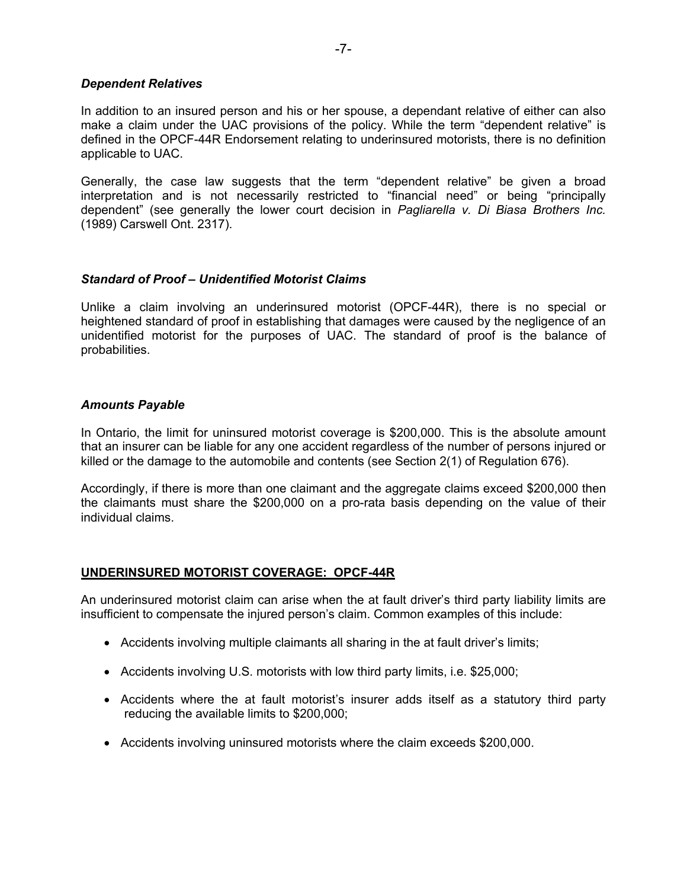### *Dependent Relatives*

In addition to an insured person and his or her spouse, a dependant relative of either can also make a claim under the UAC provisions of the policy. While the term "dependent relative" is defined in the OPCF-44R Endorsement relating to underinsured motorists, there is no definition applicable to UAC.

Generally, the case law suggests that the term "dependent relative" be given a broad interpretation and is not necessarily restricted to "financial need" or being "principally dependent" (see generally the lower court decision in *Pagliarella v. Di Biasa Brothers Inc.* (1989) Carswell Ont. 2317).

# *Standard of Proof – Unidentified Motorist Claims*

Unlike a claim involving an underinsured motorist (OPCF-44R), there is no special or heightened standard of proof in establishing that damages were caused by the negligence of an unidentified motorist for the purposes of UAC. The standard of proof is the balance of probabilities.

## *Amounts Payable*

In Ontario, the limit for uninsured motorist coverage is \$200,000. This is the absolute amount that an insurer can be liable for any one accident regardless of the number of persons injured or killed or the damage to the automobile and contents (see Section 2(1) of Regulation 676).

Accordingly, if there is more than one claimant and the aggregate claims exceed \$200,000 then the claimants must share the \$200,000 on a pro-rata basis depending on the value of their individual claims.

# **UNDERINSURED MOTORIST COVERAGE: OPCF-44R**

An underinsured motorist claim can arise when the at fault driver's third party liability limits are insufficient to compensate the injured person's claim. Common examples of this include:

- Accidents involving multiple claimants all sharing in the at fault driver's limits;
- Accidents involving U.S. motorists with low third party limits, i.e. \$25,000;
- Accidents where the at fault motorist's insurer adds itself as a statutory third party reducing the available limits to \$200,000;
- Accidents involving uninsured motorists where the claim exceeds \$200,000.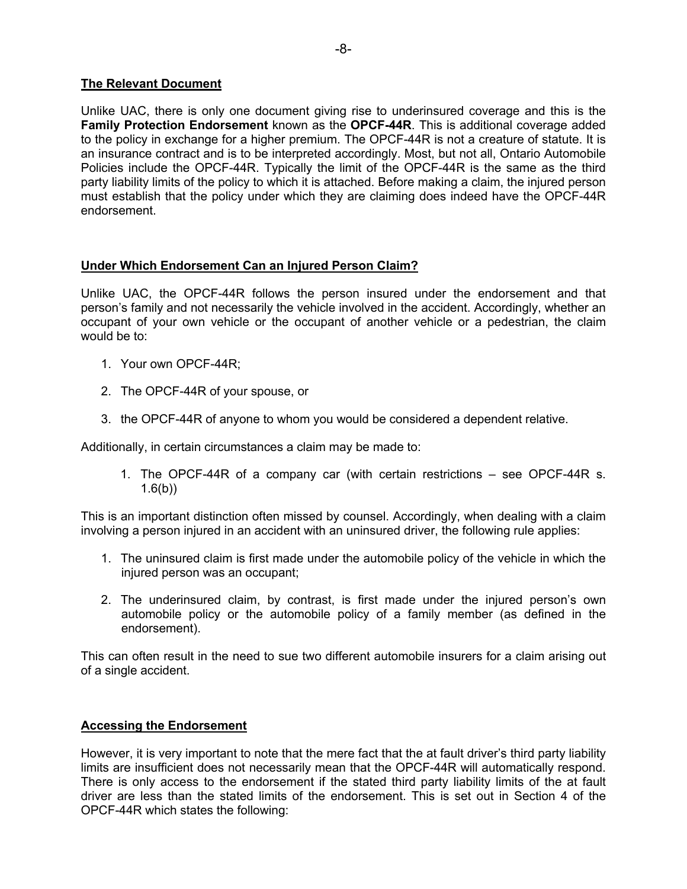Unlike UAC, there is only one document giving rise to underinsured coverage and this is the **Family Protection Endorsement** known as the **OPCF-44R**. This is additional coverage added to the policy in exchange for a higher premium. The OPCF-44R is not a creature of statute. It is an insurance contract and is to be interpreted accordingly. Most, but not all, Ontario Automobile Policies include the OPCF-44R. Typically the limit of the OPCF-44R is the same as the third party liability limits of the policy to which it is attached. Before making a claim, the injured person must establish that the policy under which they are claiming does indeed have the OPCF-44R endorsement.

# **Under Which Endorsement Can an Injured Person Claim?**

Unlike UAC, the OPCF-44R follows the person insured under the endorsement and that person's family and not necessarily the vehicle involved in the accident. Accordingly, whether an occupant of your own vehicle or the occupant of another vehicle or a pedestrian, the claim would be to:

- 1. Your own OPCF-44R;
- 2. The OPCF-44R of your spouse, or
- 3. the OPCF-44R of anyone to whom you would be considered a dependent relative.

Additionally, in certain circumstances a claim may be made to:

1. The OPCF-44R of a company car (with certain restrictions – see OPCF-44R s. 1.6(b))

This is an important distinction often missed by counsel. Accordingly, when dealing with a claim involving a person injured in an accident with an uninsured driver, the following rule applies:

- 1. The uninsured claim is first made under the automobile policy of the vehicle in which the injured person was an occupant;
- 2. The underinsured claim, by contrast, is first made under the injured person's own automobile policy or the automobile policy of a family member (as defined in the endorsement).

This can often result in the need to sue two different automobile insurers for a claim arising out of a single accident.

# **Accessing the Endorsement**

However, it is very important to note that the mere fact that the at fault driver's third party liability limits are insufficient does not necessarily mean that the OPCF-44R will automatically respond. There is only access to the endorsement if the stated third party liability limits of the at fault driver are less than the stated limits of the endorsement. This is set out in Section 4 of the OPCF-44R which states the following: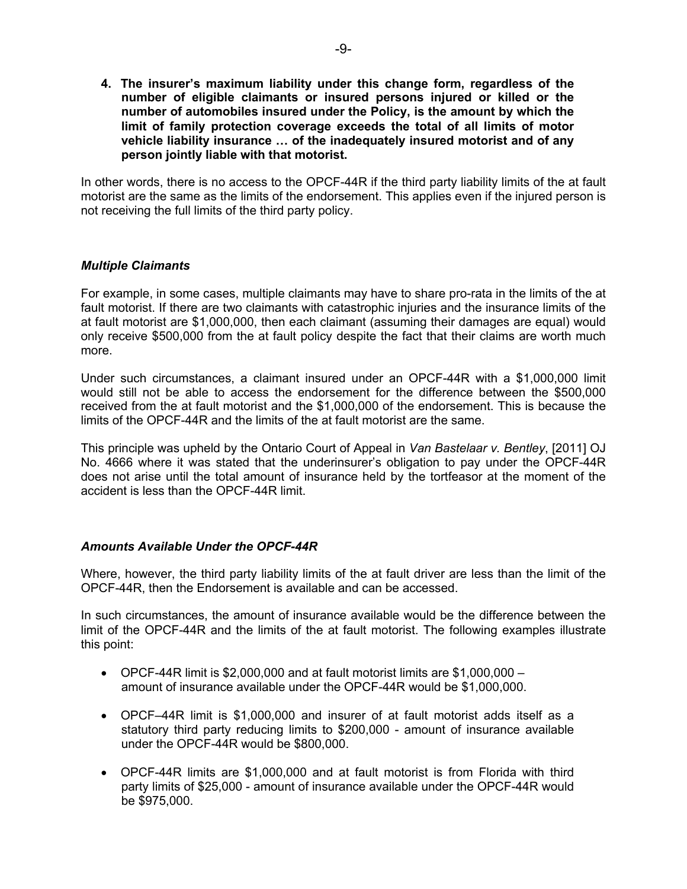**4. The insurer's maximum liability under this change form, regardless of the number of eligible claimants or insured persons injured or killed or the number of automobiles insured under the Policy, is the amount by which the limit of family protection coverage exceeds the total of all limits of motor vehicle liability insurance … of the inadequately insured motorist and of any person jointly liable with that motorist.** 

In other words, there is no access to the OPCF-44R if the third party liability limits of the at fault motorist are the same as the limits of the endorsement. This applies even if the injured person is not receiving the full limits of the third party policy.

# *Multiple Claimants*

For example, in some cases, multiple claimants may have to share pro-rata in the limits of the at fault motorist. If there are two claimants with catastrophic injuries and the insurance limits of the at fault motorist are \$1,000,000, then each claimant (assuming their damages are equal) would only receive \$500,000 from the at fault policy despite the fact that their claims are worth much more.

Under such circumstances, a claimant insured under an OPCF-44R with a \$1,000,000 limit would still not be able to access the endorsement for the difference between the \$500,000 received from the at fault motorist and the \$1,000,000 of the endorsement. This is because the limits of the OPCF-44R and the limits of the at fault motorist are the same.

This principle was upheld by the Ontario Court of Appeal in *Van Bastelaar v. Bentley*, [2011] OJ No. 4666 where it was stated that the underinsurer's obligation to pay under the OPCF-44R does not arise until the total amount of insurance held by the tortfeasor at the moment of the accident is less than the OPCF-44R limit.

# *Amounts Available Under the OPCF-44R*

Where, however, the third party liability limits of the at fault driver are less than the limit of the OPCF-44R, then the Endorsement is available and can be accessed.

In such circumstances, the amount of insurance available would be the difference between the limit of the OPCF-44R and the limits of the at fault motorist. The following examples illustrate this point:

- OPCF-44R limit is \$2,000,000 and at fault motorist limits are \$1,000,000 amount of insurance available under the OPCF-44R would be \$1,000,000.
- OPCF–44R limit is \$1,000,000 and insurer of at fault motorist adds itself as a statutory third party reducing limits to \$200,000 - amount of insurance available under the OPCF-44R would be \$800,000.
- OPCF-44R limits are \$1,000,000 and at fault motorist is from Florida with third party limits of \$25,000 - amount of insurance available under the OPCF-44R would be \$975,000.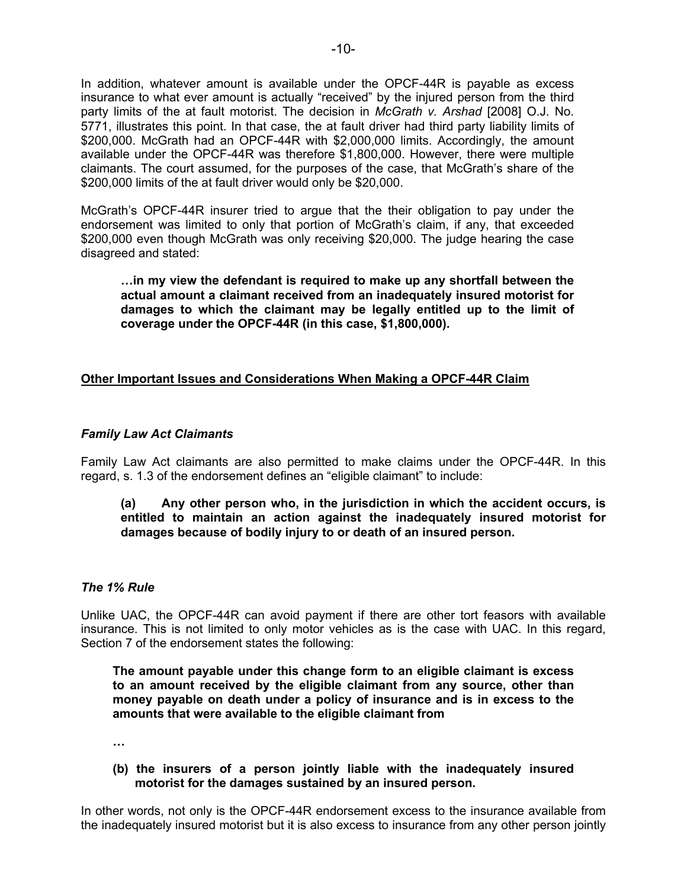In addition, whatever amount is available under the OPCF-44R is payable as excess insurance to what ever amount is actually "received" by the injured person from the third party limits of the at fault motorist. The decision in *McGrath v. Arshad* [2008] O.J. No. 5771, illustrates this point. In that case, the at fault driver had third party liability limits of \$200,000. McGrath had an OPCF-44R with \$2,000,000 limits. Accordingly, the amount available under the OPCF-44R was therefore \$1,800,000. However, there were multiple claimants. The court assumed, for the purposes of the case, that McGrath's share of the \$200,000 limits of the at fault driver would only be \$20,000.

McGrath's OPCF-44R insurer tried to argue that the their obligation to pay under the endorsement was limited to only that portion of McGrath's claim, if any, that exceeded \$200,000 even though McGrath was only receiving \$20,000. The judge hearing the case disagreed and stated:

**…in my view the defendant is required to make up any shortfall between the actual amount a claimant received from an inadequately insured motorist for damages to which the claimant may be legally entitled up to the limit of coverage under the OPCF-44R (in this case, \$1,800,000).**

## **Other Important Issues and Considerations When Making a OPCF-44R Claim**

### *Family Law Act Claimants*

Family Law Act claimants are also permitted to make claims under the OPCF-44R. In this regard, s. 1.3 of the endorsement defines an "eligible claimant" to include:

### **(a) Any other person who, in the jurisdiction in which the accident occurs, is entitled to maintain an action against the inadequately insured motorist for damages because of bodily injury to or death of an insured person.**

### *The 1% Rule*

Unlike UAC, the OPCF-44R can avoid payment if there are other tort feasors with available insurance. This is not limited to only motor vehicles as is the case with UAC. In this regard, Section 7 of the endorsement states the following:

**The amount payable under this change form to an eligible claimant is excess to an amount received by the eligible claimant from any source, other than money payable on death under a policy of insurance and is in excess to the amounts that were available to the eligible claimant from**

**…**

### **(b) the insurers of a person jointly liable with the inadequately insured motorist for the damages sustained by an insured person.**

In other words, not only is the OPCF-44R endorsement excess to the insurance available from the inadequately insured motorist but it is also excess to insurance from any other person jointly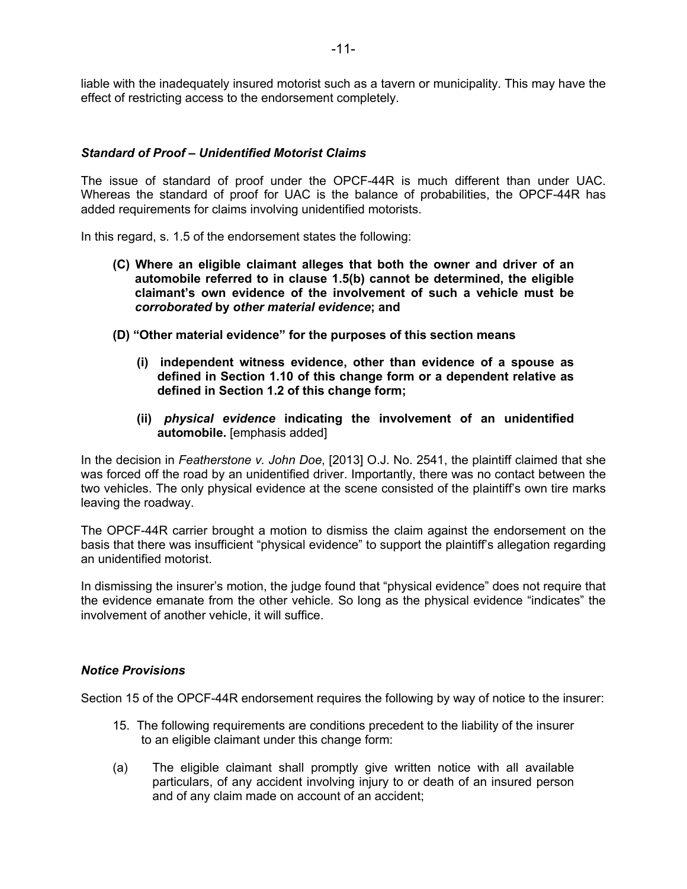liable with the inadequately insured motorist such as a tavern or municipality. This may have the effect of restricting access to the endorsement completely.

## *Standard of Proof – Unidentified Motorist Claims*

The issue of standard of proof under the OPCF-44R is much different than under UAC. Whereas the standard of proof for UAC is the balance of probabilities, the OPCF-44R has added requirements for claims involving unidentified motorists.

In this regard, s. 1.5 of the endorsement states the following:

- **(C) Where an eligible claimant alleges that both the owner and driver of an automobile referred to in clause 1.5(b) cannot be determined, the eligible claimant's own evidence of the involvement of such a vehicle must be**  *corroborated* **by** *other material evidence***; and**
- **(D) "Other material evidence" for the purposes of this section means**
	- **(i) independent witness evidence, other than evidence of a spouse as defined in Section 1.10 of this change form or a dependent relative as defined in Section 1.2 of this change form;**
	- **(ii)** *physical evidence* **indicating the involvement of an unidentified automobile.** [emphasis added]

In the decision in *Featherstone v. John Doe*, [2013] O.J. No. 2541, the plaintiff claimed that she was forced off the road by an unidentified driver. Importantly, there was no contact between the two vehicles. The only physical evidence at the scene consisted of the plaintiff's own tire marks leaving the roadway.

The OPCF-44R carrier brought a motion to dismiss the claim against the endorsement on the basis that there was insufficient "physical evidence" to support the plaintiff's allegation regarding an unidentified motorist.

In dismissing the insurer's motion, the judge found that "physical evidence" does not require that the evidence emanate from the other vehicle. So long as the physical evidence "indicates" the involvement of another vehicle, it will suffice.

### *Notice Provisions*

Section 15 of the OPCF-44R endorsement requires the following by way of notice to the insurer:

- 15. The following requirements are conditions precedent to the liability of the insurer to an eligible claimant under this change form:
- (a) The eligible claimant shall promptly give written notice with all available particulars, of any accident involving injury to or death of an insured person and of any claim made on account of an accident;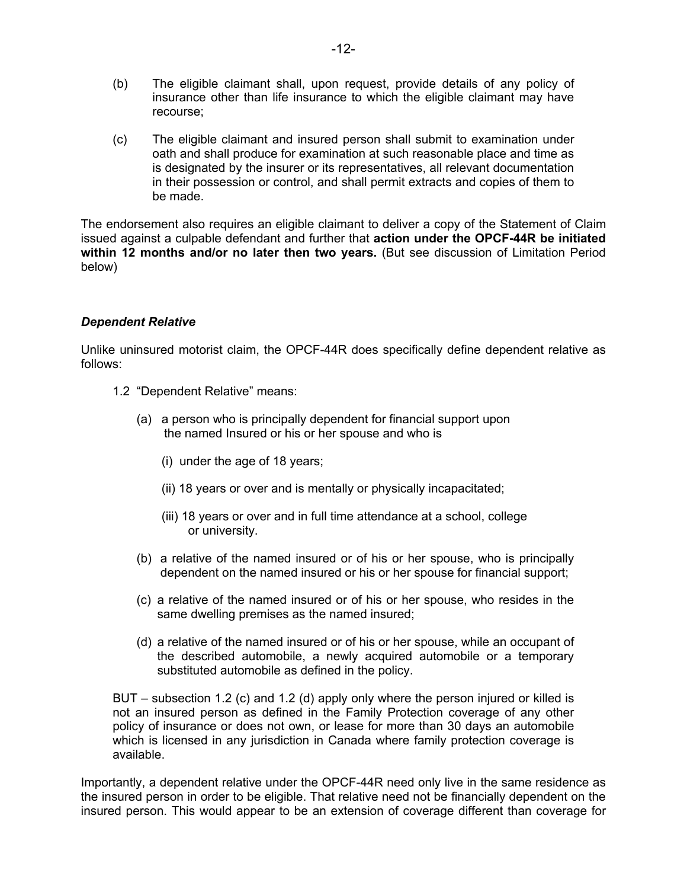- (b) The eligible claimant shall, upon request, provide details of any policy of insurance other than life insurance to which the eligible claimant may have recourse;
- (c) The eligible claimant and insured person shall submit to examination under oath and shall produce for examination at such reasonable place and time as is designated by the insurer or its representatives, all relevant documentation in their possession or control, and shall permit extracts and copies of them to be made.

The endorsement also requires an eligible claimant to deliver a copy of the Statement of Claim issued against a culpable defendant and further that **action under the OPCF-44R be initiated within 12 months and/or no later then two years.** (But see discussion of Limitation Period below)

## *Dependent Relative*

Unlike uninsured motorist claim, the OPCF-44R does specifically define dependent relative as follows:

- 1.2 "Dependent Relative" means:
	- (a) a person who is principally dependent for financial support upon the named Insured or his or her spouse and who is
		- (i) under the age of 18 years;
		- (ii) 18 years or over and is mentally or physically incapacitated;
		- (iii) 18 years or over and in full time attendance at a school, college or university.
	- (b) a relative of the named insured or of his or her spouse, who is principally dependent on the named insured or his or her spouse for financial support;
	- (c) a relative of the named insured or of his or her spouse, who resides in the same dwelling premises as the named insured;
	- (d) a relative of the named insured or of his or her spouse, while an occupant of the described automobile, a newly acquired automobile or a temporary substituted automobile as defined in the policy.

BUT – subsection 1.2 (c) and 1.2 (d) apply only where the person injured or killed is not an insured person as defined in the Family Protection coverage of any other policy of insurance or does not own, or lease for more than 30 days an automobile which is licensed in any jurisdiction in Canada where family protection coverage is available.

Importantly, a dependent relative under the OPCF-44R need only live in the same residence as the insured person in order to be eligible. That relative need not be financially dependent on the insured person. This would appear to be an extension of coverage different than coverage for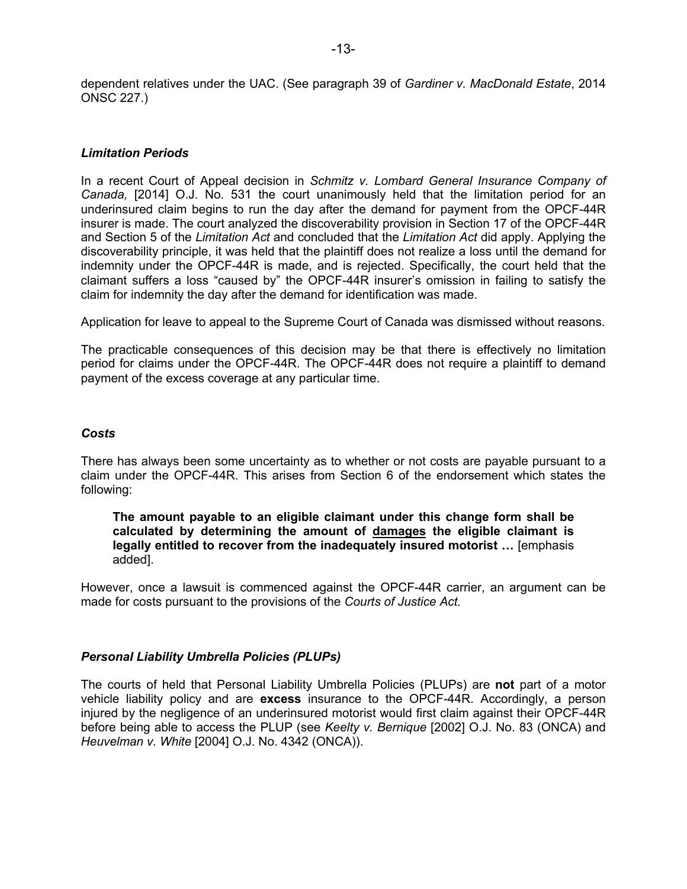dependent relatives under the UAC. (See paragraph 39 of *Gardiner v. MacDonald Estate*, 2014 ONSC 227.)

### *Limitation Periods*

In a recent Court of Appeal decision in *Schmitz v. Lombard General Insurance Company of Canada,* [2014] O.J. No. 531 the court unanimously held that the limitation period for an underinsured claim begins to run the day after the demand for payment from the OPCF-44R insurer is made. The court analyzed the discoverability provision in Section 17 of the OPCF-44R and Section 5 of the *Limitation Act* and concluded that the *Limitation Act* did apply. Applying the discoverability principle, it was held that the plaintiff does not realize a loss until the demand for indemnity under the OPCF-44R is made, and is rejected. Specifically, the court held that the claimant suffers a loss "caused by" the OPCF-44R insurer's omission in failing to satisfy the claim for indemnity the day after the demand for identification was made.

Application for leave to appeal to the Supreme Court of Canada was dismissed without reasons.

The practicable consequences of this decision may be that there is effectively no limitation period for claims under the OPCF-44R. The OPCF-44R does not require a plaintiff to demand payment of the excess coverage at any particular time.

### *Costs*

There has always been some uncertainty as to whether or not costs are payable pursuant to a claim under the OPCF-44R. This arises from Section 6 of the endorsement which states the following:

**The amount payable to an eligible claimant under this change form shall be calculated by determining the amount of damages the eligible claimant is legally entitled to recover from the inadequately insured motorist …** [emphasis added].

However, once a lawsuit is commenced against the OPCF-44R carrier, an argument can be made for costs pursuant to the provisions of the *Courts of Justice Act.* 

### *Personal Liability Umbrella Policies (PLUPs)*

The courts of held that Personal Liability Umbrella Policies (PLUPs) are **not** part of a motor vehicle liability policy and are **excess** insurance to the OPCF-44R. Accordingly, a person injured by the negligence of an underinsured motorist would first claim against their OPCF-44R before being able to access the PLUP (see *Keelty v. Bernique* [2002] O.J. No. 83 (ONCA) and *Heuvelman v. White* [2004] O.J. No. 4342 (ONCA)).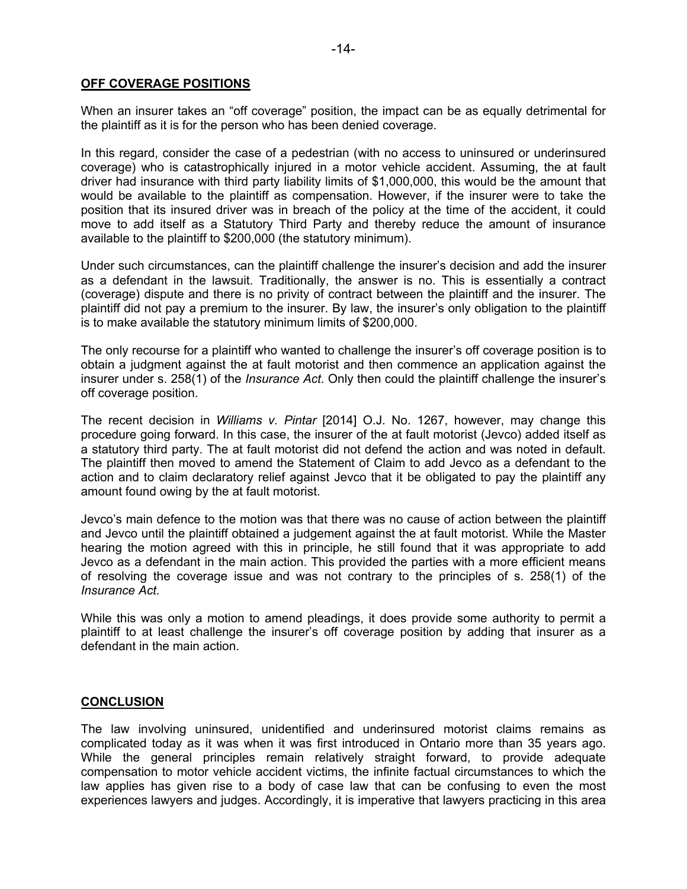### **OFF COVERAGE POSITIONS**

When an insurer takes an "off coverage" position, the impact can be as equally detrimental for the plaintiff as it is for the person who has been denied coverage.

In this regard, consider the case of a pedestrian (with no access to uninsured or underinsured coverage) who is catastrophically injured in a motor vehicle accident. Assuming, the at fault driver had insurance with third party liability limits of \$1,000,000, this would be the amount that would be available to the plaintiff as compensation. However, if the insurer were to take the position that its insured driver was in breach of the policy at the time of the accident, it could move to add itself as a Statutory Third Party and thereby reduce the amount of insurance available to the plaintiff to \$200,000 (the statutory minimum).

Under such circumstances, can the plaintiff challenge the insurer's decision and add the insurer as a defendant in the lawsuit. Traditionally, the answer is no. This is essentially a contract (coverage) dispute and there is no privity of contract between the plaintiff and the insurer. The plaintiff did not pay a premium to the insurer. By law, the insurer's only obligation to the plaintiff is to make available the statutory minimum limits of \$200,000.

The only recourse for a plaintiff who wanted to challenge the insurer's off coverage position is to obtain a judgment against the at fault motorist and then commence an application against the insurer under s. 258(1) of the *Insurance Act*. Only then could the plaintiff challenge the insurer's off coverage position.

The recent decision in *Williams v. Pintar* [2014] O.J. No. 1267, however, may change this procedure going forward. In this case, the insurer of the at fault motorist (Jevco) added itself as a statutory third party. The at fault motorist did not defend the action and was noted in default. The plaintiff then moved to amend the Statement of Claim to add Jevco as a defendant to the action and to claim declaratory relief against Jevco that it be obligated to pay the plaintiff any amount found owing by the at fault motorist.

Jevco's main defence to the motion was that there was no cause of action between the plaintiff and Jevco until the plaintiff obtained a judgement against the at fault motorist. While the Master hearing the motion agreed with this in principle, he still found that it was appropriate to add Jevco as a defendant in the main action. This provided the parties with a more efficient means of resolving the coverage issue and was not contrary to the principles of s. 258(1) of the *Insurance Act.* 

While this was only a motion to amend pleadings, it does provide some authority to permit a plaintiff to at least challenge the insurer's off coverage position by adding that insurer as a defendant in the main action.

### **CONCLUSION**

The law involving uninsured, unidentified and underinsured motorist claims remains as complicated today as it was when it was first introduced in Ontario more than 35 years ago. While the general principles remain relatively straight forward, to provide adequate compensation to motor vehicle accident victims, the infinite factual circumstances to which the law applies has given rise to a body of case law that can be confusing to even the most experiences lawyers and judges. Accordingly, it is imperative that lawyers practicing in this area